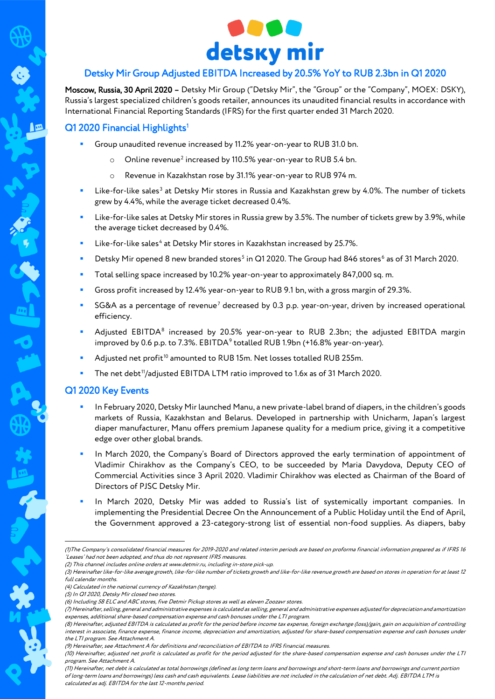

# Detsky Mir Group Adjusted EBITDA Increased by 20.5% YoY to RUB 2.3bn in Q1 2020

Moscow, Russia, 30 April 2020 – Detsky Mir Group ("Detsky Mir", the "Group" or the "Company", MOEX: DSKY), Russia's largest specialized children's goods retailer, announces its unaudited financial results in accordance with International Financial Reporting Standards (IFRS) for the first quarter ended 31 March 2020.

# Q[1](#page-0-0) 2020 Financial Highlights<sup>1</sup>

- Group unaudited revenue increased by 11.2% year-on-year to RUB 31.0 bn.
	- Online revenue<sup>[2](#page-0-1)</sup> increased by 110.5% year-on-year to RUB 5.4 bn.
	- o Revenue in Kazakhstan rose by 31.1% year-on-year to RUB 974 m.
- Like-for-like sales<sup>[3](#page-0-2)</sup> at Detsky Mir stores in Russia and Kazakhstan grew by 4.0%. The number of tickets grew by 4.4%, while the average ticket decreased 0.4%.
- Like-for-like sales at Detsky Mir stores in Russia grew by 3.5%. The number of tickets grew by 3.9%, while the average ticket decreased by 0.4%.
- Like-for-like sales<sup>[4](#page-0-3)</sup> at Detsky Mir stores in Kazakhstan increased by 25.7%.
- Detsky Mir opened 8 new branded stores<sup>[5](#page-0-4)</sup> in Q1 2020. The Group had 84[6](#page-0-5) stores<sup>6</sup> as of 31 March 2020.
- Total selling space increased by 10.2% year-on-year to approximately 847,000 sq. m.
- Gross profit increased by 12.4% year-on-year to RUB 9.1 bn, with a gross margin of 29.3%.
- SG&A as a percentage of revenue<sup>[7](#page-0-6)</sup> decreased by 0.3 p.p. year-on-year, driven by increased operational efficiency.
- Adjusted EBITDA<sup>[8](#page-0-7)</sup> increased by 20.5% year-on-year to RUB 2.3bn; the adjusted EBITDA margin improved by 0.6 p.p. to 7.3%. EBITDA<sup>[9](#page-0-8)</sup> totalled RUB 1.9bn (+16.8% year-on-year).
- Adjusted net profit<sup>[10](#page-0-9)</sup> amounted to RUB 15m. Net losses totalled RUB 255m.
- The net debt<sup>[11](#page-0-10)</sup>/adjusted EBITDA LTM ratio improved to 1.6x as of 31 March 2020.

### Q1 2020 Key Events

-

- In February 2020, Detsky Mir launched Manu, a new private-label brand of diapers, in the children's goods markets of Russia, Kazakhstan and Belarus. Developed in partnership with Unicharm, Japan's largest diaper manufacturer, Manu offers premium Japanese quality for a medium price, giving it a competitive edge over other global brands.
- In March 2020, the Company's Board of Directors approved the early termination of appointment of Vladimir Chirakhov as the Company's CEO, to be succeeded by Maria Davydova, Deputy CEO of Commercial Activities since 3 April 2020. Vladimir Chirakhov was elected as Chairman of the Board of Directors of PJSC Detsky Mir.
- In March 2020, Detsky Mir was added to Russia's list of systemically important companies. In implementing the Presidential Decree On the Announcement of a Public Holiday until the End of April, the Government approved a 23-category-strong list of essential non-food supplies. As diapers, baby

<span id="page-0-1"></span>(2) This channel includes online orders a[t www.detmir.ru,](http://www.detmir.ru/) including in-store pick-up.

<span id="page-0-0"></span><sup>(1)</sup>The Company's consolidated financial measures for 2019-2020 and related interim periods are based on proforma financial information prepared as if IFRS 16 'Leases' had not been adopted, and thus do not represent IFRS measures.

<span id="page-0-2"></span><sup>(3)</sup> Hereinafter like-for-like average growth, like-for-like number of tickets growth and like-for-like revenue growth are based on stores in operation for at least 12 full calendar months.

<span id="page-0-3"></span><sup>(4)</sup> Calculated in the national currency of Kazakhstan (tenge).

<sup>(5)</sup> In Q1 2020, Detsky Mir closed two stores.

<sup>(6)</sup> Including 58 ELC and ABC stores, five Detmir Pickup stores as well as eleven Zoozavr stores.

<span id="page-0-7"></span><span id="page-0-6"></span><span id="page-0-5"></span><span id="page-0-4"></span><sup>(7)</sup> Hereinafter, selling, general and administrative expenses is calculated as selling, general and administrative expenses adjusted for depreciation and amortization expenses, additional share-based compensation expense and cash bonuses under the LTI program.

<sup>(8)</sup> Hereinafter, adjusted EBITDA is calculated as profit for the period before income tax expense, foreign exchange (loss)/gain, gain on acquisition of controlling interest in associate, finance expense, finance income, depreciation and amortization, adjusted for share-based compensation expense and cash bonuses under the LTI program. See Attachment A.

<sup>(9)</sup> Hereinafter, see Attachment A for definitions and reconciliation of EBITDA to IFRS financial measures.

<span id="page-0-10"></span><span id="page-0-9"></span><span id="page-0-8"></span><sup>(10)</sup> Hereinafter, adjusted net profit is calculated as profit for the period adjusted for the share-based compensation expense and cash bonuses under the LTI program. See Attachment A.

<sup>(11)</sup> Hereinafter, net debt is calculated as total borrowings (defined as long term loans and borrowings and short-term loans and borrowings and current portion of long-term loans and borrowings) less cash and cash equivalents. Lease liabilities are not included in the calculation of net debt. Adj. EBITDA LTM is calculated as adj. EBITDA for the last 12-months period.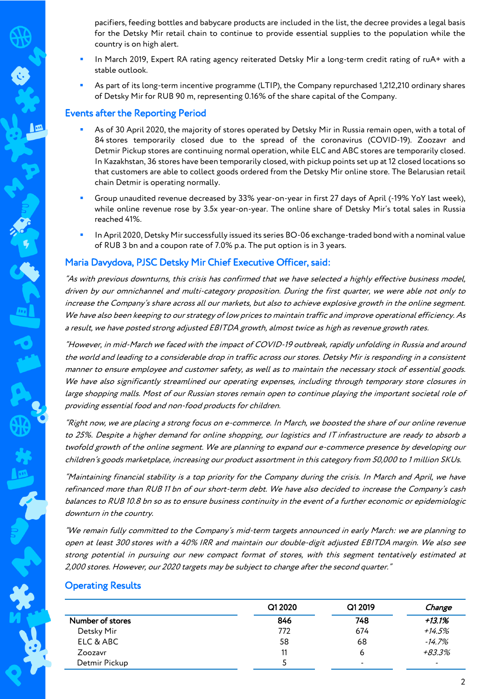pacifiers, feeding bottles and babycare products are included in the list, the decree provides a legal basis for the Detsky Mir retail chain to continue to provide essential supplies to the population while the country is on high alert.

- In March 2019, Expert RA rating agency reiterated Detsky Mir a long-term credit rating of ruA+ with a stable outlook.
- As part of its long-term incentive programme (LTIP), the Company repurchased 1,212,210 ordinary shares of Detsky Mir for RUB 90 m, representing 0.16% of the share capital of the Company.

# Events after the Reporting Period

- As of 30 April 2020, the majority of stores operated by Detsky Mir in Russia remain open, with a total of 84 stores temporarily closed due to the spread of the coronavirus (COVID-19). Zoozavr and Detmir Pickup stores are continuing normal operation, while ELC and ABC stores are temporarily closed. In Kazakhstan, 36 stores have been temporarily closed, with pickup points set up at 12 closed locations so that customers are able to collect goods ordered from the Detsky Mir online store. The Belarusian retail chain Detmir is operating normally.
- Group unaudited revenue decreased by 33% year-on-year in first 27 days of April (-19% YoY last week), while online revenue rose by 3.5x year-on-year. The online share of Detsky Mir's total sales in Russia reached 41%.
- In April 2020, Detsky Mir successfully issued its series BО-06 exchange-traded bond with a nominal value of RUB 3 bn and a coupon rate of 7.0% p.a. The put option is in 3 years.

# Maria Davydova, PJSC Detsky Mir Chief Executive Officer, said:

"As with previous downturns, this crisis has confirmed that we have selected a highly effective business model, driven by our omnichannel and multi-category proposition. During the first quarter, we were able not only to increase the Company's share across all our markets, but also to achieve explosive growth in the online segment. We have also been keeping to our strategy of low prices to maintain traffic and improve operational efficiency. As a result, we have posted strong adjusted EBITDA growth, almost twice as high as revenue growth rates.

"However, in mid-March we faced with the impact of COVID-19 outbreak, rapidly unfolding in Russia and around the world and leading to a considerable drop in traffic across our stores. Detsky Mir is responding in a consistent manner to ensure employee and customer safety, as well as to maintain the necessary stock of essential goods. We have also significantly streamlined our operating expenses, including through temporary store closures in large shopping malls. Most of our Russian stores remain open to continue playing the important societal role of providing essential food and non-food products for children.

"Right now, we are placing a strong focus on e-commerce. In March, we boosted the share of our online revenue to 25%. Despite a higher demand for online shopping, our logistics and IT infrastructure are ready to absorb a twofold growth of the online segment. We are planning to expand our e-commerce presence by developing our children's goods marketplace, increasing our product assortment in this category from 50,000 to 1 million SKUs.

"Maintaining financial stability is a top priority for the Company during the crisis. In March and April, we have refinanced more than RUB 11 bn of our short-term debt. We have also decided to increase the Company's cash balances to RUB 10.8 bn so as to ensure business continuity in the event of a further economic or epidemiologic downturn in the country.

"We remain fully committed to the Company's mid-term targets announced in early March: we are planning to open at least 300 stores with a 40% IRR and maintain our double-digit adjusted EBITDA margin. We also see strong potential in pursuing our new compact format of stores, with this segment tentatively estimated at 2,000 stores. However, our 2020 targets may be subject to change after the second quarter."

### Operating Results

|                  | Q1 2020 | Q1 2019 | Change                   |
|------------------|---------|---------|--------------------------|
| Number of stores | 846     | 748     | +13.1%                   |
| Detsky Mir       | 772     | 674     | $+14.5%$                 |
| ELC & ABC        | 58      | 68      | $-14.7%$                 |
| Zoozavr          | 11      | ь       | +83.3%                   |
| Detmir Pickup    |         | -       | $\overline{\phantom{0}}$ |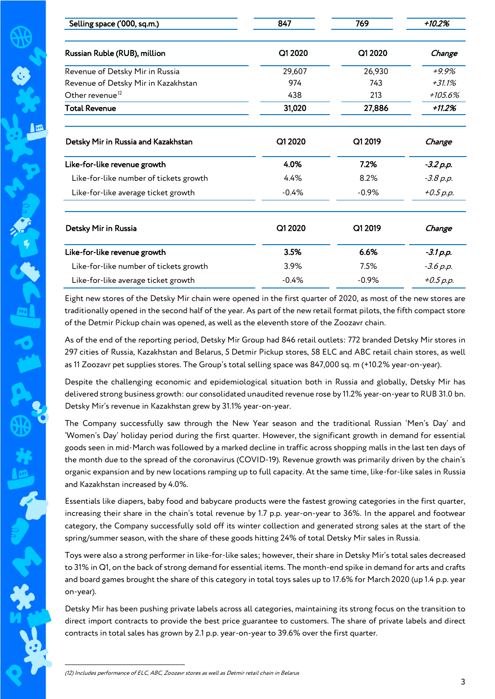| Selling space ('000, sq.m.)            | 847     | 769     | $+10.2%$    |
|----------------------------------------|---------|---------|-------------|
| Russian Ruble (RUB), million           | Q1 2020 | Q1 2020 | Change      |
| Revenue of Detsky Mir in Russia        | 29,607  | 26,930  | $+9.9%$     |
| Revenue of Detsky Mir in Kazakhstan    | 974     | 743     | $+31.1%$    |
| Other revenue <sup>12</sup>            | 438     | 213     | +105.6%     |
| <b>Total Revenue</b>                   | 31,020  | 27,886  | $+11.2%$    |
| Detsky Mir in Russia and Kazakhstan    | Q1 2020 | Q1 2019 | Change      |
| Like-for-like revenue growth           | 4.0%    | 7.2%    | $-3.2 p.p.$ |
| Like-for-like number of tickets growth | 4.4%    | 8.2%    | $-3.8 p.p.$ |
| Like-for-like average ticket growth    | $-0.4%$ | $-0.9%$ | $+0.5 p.p.$ |
| Detsky Mir in Russia                   | Q1 2020 | Q1 2019 | Change      |
| Like-for-like revenue growth           | 3.5%    | 6.6%    | $-3.1 p.p.$ |
| Like-for-like number of tickets growth | 3.9%    | 7.5%    | $-3.6 p.p.$ |
| Like-for-like average ticket growth    | $-0.4%$ | $-0.9%$ | $+0.5 p.p.$ |

Eight new stores of the Detsky Mir chain were opened in the first quarter of 2020, as most of the new stores are traditionally opened in the second half of the year. As part of the new retail format pilots, the fifth compact store of the Detmir Pickup chain was opened, as well as the eleventh store of the Zoozavr chain.

As of the end of the reporting period, Detsky Mir Group had 846 retail outlets: 772 branded Detsky Mir stores in 297 cities of Russia, Kazakhstan and Belarus, 5 Detmir Pickup stores, 58 ELC and ABC retail chain stores, as well as 11 Zoozavr pet supplies stores. The Group's total selling space was 847,000 sq. m (+10.2% year-on-year).

Despite the challenging economic and epidemiological situation both in Russia and globally, Detsky Mir has delivered strong business growth: our consolidated unaudited revenue rose by 11.2% year-on-year to RUB 31.0 bn. Detsky Mir's revenue in Kazakhstan grew by 31.1% year-on-year.

The Company successfully saw through the New Year season and the traditional Russian 'Men's Day' and 'Women's Day' holiday period during the first quarter. However, the significant growth in demand for essential goods seen in mid-March was followed by a marked decline in traffic across shopping malls in the last ten days of the month due to the spread of the coronavirus (COVID-19). Revenue growth was primarily driven by the chain's organic expansion and by new locations ramping up to full capacity. At the same time, like-for-like sales in Russia and Kazakhstan increased by 4.0%.

Essentials like diapers, baby food and babycare products were the fastest growing categories in the first quarter, increasing their share in the chain's total revenue by 1.7 p.p. year-on-year to 36%. In the apparel and footwear category, the Company successfully sold off its winter collection and generated strong sales at the start of the spring/summer season, with the share of these goods hitting 24% of total Detsky Mir sales in Russia.

Toys were also a strong performer in like-for-like sales; however, their share in Detsky Mir's total sales decreased to 31% in Q1, on the back of strong demand for essential items. The month-end spike in demand for arts and crafts and board games brought the share of this category in total toys sales up to 17.6% for March 2020 (up 1.4 p.p. year on-year).

<span id="page-2-0"></span>Detsky Mir has been pushing private labels across all categories, maintaining its strong focus on the transition to direct import contracts to provide the best price guarantee to customers. The share of private labels and direct contracts in total sales has grown by 2.1 p.p. year-on-year to 39.6% over the first quarter.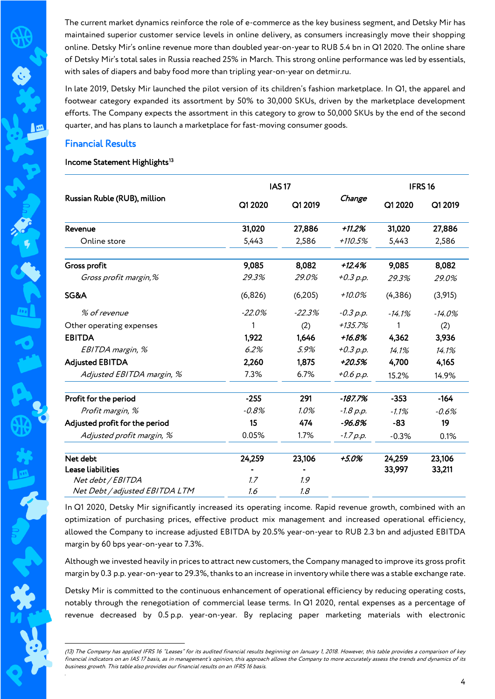The current market dynamics reinforce the role of e-commerce as the key business segment, and Detsky Mir has maintained superior customer service levels in online delivery, as consumers increasingly move their shopping online. Detsky Mir's online revenue more than doubled year-on-year to RUB 5.4 bn in Q1 2020. The online share of Detsky Mir's total sales in Russia reached 25% in March. This strong online performance was led by essentials, with sales of diapers and baby food more than tripling year-on-year on detmir.ru.

In late 2019, Detsky Mir launched the pilot version of its children's fashion marketplace. In Q1, the apparel and footwear category expanded its assortment by 50% to 30,000 SKUs, driven by the marketplace development efforts. The Company expects the assortment in this category to grow to 50,000 SKUs by the end of the second quarter, and has plans to launch a marketplace for fast-moving consumer goods.

### Financial Results

<u>.</u>

*.* 

### Income Statement Highlights<sup>[13](#page-3-0)</sup>

| <b>IAS17</b>                   |          |          | IFRS <sub>16</sub> |          |           |
|--------------------------------|----------|----------|--------------------|----------|-----------|
| Russian Ruble (RUB), million   | Q1 2020  | Q1 2019  | Change             | Q1 2020  | Q1 2019   |
| Revenue                        | 31,020   | 27,886   | $+11.2%$           | 31,020   | 27,886    |
| Online store                   | 5,443    | 2,586    | $+110.5%$          | 5,443    | 2,586     |
| Gross profit                   | 9,085    | 8,082    | $+12.4%$           | 9,085    | 8,082     |
| Gross profit margin,%          | 29.3%    | 29.0%    | $+0.3 p.p.$        | 29.3%    | 29.0%     |
| SG&A                           | (6,826)  | (6,205)  | +10.0%             | (4,386)  | (3,915)   |
| % of revenue                   | $-22.0%$ | $-22.3%$ | $-0.3 p.p.$        | $-14.1%$ | $-14.0\%$ |
| Other operating expenses       |          | (2)      | +135.7%            | 1        | (2)       |
| <b>EBITDA</b>                  | 1,922    | 1,646    | +16.8%             | 4,362    | 3,936     |
| EBITDA margin, %               | 6.2%     | 5.9%     | $+0.3 p.p.$        | 14.1%    | 14.1%     |
| <b>Adjusted EBITDA</b>         | 2,260    | 1,875    | +20.5%             | 4,700    | 4,165     |
| Adjusted EBITDA margin, %      | 7.3%     | 6.7%     | +0.6 p.p.          | 15.2%    | 14.9%     |
| Profit for the period          | $-255$   | 291      | $-187.7%$          | $-353$   | $-164$    |
| Profit margin, %               | $-0.8\%$ | 1.0%     | $-1.8 p.p.$        | $-1.1%$  | $-0.6%$   |
| Adjusted profit for the period | 15       | 474      | $-96.8%$           | $-83$    | 19        |
| Adjusted profit margin, %      | 0.05%    | 1.7%     | $-1.7 p.p.$        | $-0.3%$  | 0.1%      |
| Net debt                       | 24,259   | 23,106   | +5.0%              | 24,259   | 23,106    |
| <b>Lease liabilities</b>       |          |          |                    | 33,997   | 33,211    |
| Net debt / EBITDA              | 1.7      | 1.9      |                    |          |           |
| Net Debt / adjusted EBITDA LTM | 1.6      | 1.8      |                    |          |           |

In Q1 2020, Detsky Mir significantly increased its operating income. Rapid revenue growth, combined with an optimization of purchasing prices, effective product mix management and increased operational efficiency, allowed the Company to increase adjusted EBITDA by 20.5% year-on-year to RUB 2.3 bn and adjusted EBITDA margin by 60 bps year-on-year to 7.3%.

Although we invested heavily in prices to attract new customers, the Company managed to improve its gross profit margin by 0.3 p.p. year-on-year to 29.3%, thanks to an increase in inventory while there was a stable exchange rate.

Detsky Mir is committed to the continuous enhancement of operational efficiency by reducing operating costs, notably through the renegotiation of commercial lease terms. In Q1 2020, rental expenses as a percentage of revenue decreased by 0.5 p.p. year-on-year. By replacing paper marketing materials with electronic

<span id="page-3-0"></span><sup>(13)</sup> The Company has applied IFRS 16 "Leases" for its audited financial results beginning on January 1, 2018. However, this table provides a comparison of key financial indicators on an IAS 17 basis, as in management's opinion, this approach allows the Company to more accurately assess the trends and dynamics of its business growth. This table also provides our financial results on an IFRS 16 basis.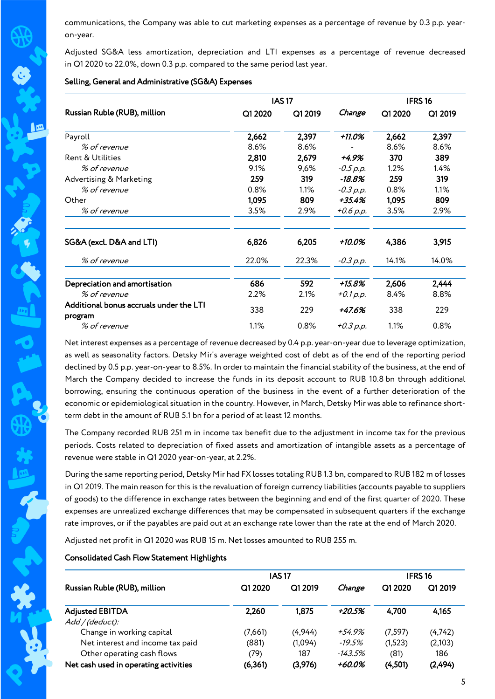communications, the Company was able to cut marketing expenses as a percentage of revenue by 0.3 p.p. yearon-year.

Adjusted SG&A less amortization, depreciation and LTI expenses as a percentage of revenue decreased in Q1 2020 to 22.0%, down 0.3 p.p. compared to the same period last year.

#### Selling, General and Administrative (SG&A) Expenses

|                                                    |         | <b>IAS17</b> |             |         | IFRS <sub>16</sub> |
|----------------------------------------------------|---------|--------------|-------------|---------|--------------------|
| Russian Ruble (RUB), million                       | Q1 2020 | Q1 2019      | Change      | Q1 2020 | Q1 2019            |
| Payroll                                            | 2,662   | 2,397        | +11.0%      | 2,662   | 2,397              |
| % of revenue                                       | 8.6%    | 8.6%         |             | 8.6%    | 8.6%               |
| Rent & Utilities                                   | 2,810   | 2,679        | +4.9%       | 370     | 389                |
| % of revenue                                       | 9.1%    | 9,6%         | $-0.5 p.p.$ | 1.2%    | 1.4%               |
| Advertising & Marketing                            | 259     | 319          | $-18.8%$    | 259     | 319                |
| % of revenue                                       | $0.8\%$ | 1.1%         | $-0.3 p.p.$ | 0.8%    | 1.1%               |
| Other                                              | 1,095   | 809          | +35.4%      | 1,095   | 809                |
| % of revenue                                       | 3.5%    | 2.9%         | +0.6 p.p.   | 3.5%    | 2.9%               |
| SG&A (excl. D&A and LTI)                           | 6,826   | 6,205        | +10.0%      | 4,386   | 3,915              |
| % of revenue                                       | 22.0%   | 22.3%        | $-0.3 p.p.$ | 14.1%   | 14.0%              |
| Depreciation and amortisation                      | 686     | 592          | +15.8%      | 2,606   | 2,444              |
| % of revenue                                       | 2.2%    | 2.1%         | $+0.1 p.p.$ | 8.4%    | 8.8%               |
| Additional bonus accruals under the LTI<br>program | 338     | 229          | +47.6%      | 338     | 229                |
| % of revenue                                       | 1.1%    | 0.8%         | $+0.3 p.p.$ | 1.1%    | 0.8%               |

Net interest expenses as a percentage of revenue decreased by 0.4 p.p. year-on-year due to leverage optimization, as well as seasonality factors. Detsky Mir's average weighted cost of debt as of the end of the reporting period declined by 0.5 p.p. year-on-year to 8.5%. In order to maintain the financial stability of the business, at the end of March the Company decided to increase the funds in its deposit account to RUB 10.8 bn through additional borrowing, ensuring the continuous operation of the business in the event of a further deterioration of the economic or epidemiological situation in the country. However, in March, Detsky Mir was able to refinance shortterm debt in the amount of RUB 5.1 bn for a period of at least 12 months.

The Company recorded RUB 251 m in income tax benefit due to the adjustment in income tax for the previous periods. Costs related to depreciation of fixed assets and amortization of intangible assets as a percentage of revenue were stable in Q1 2020 year-on-year, at 2.2%.

During the same reporting period, Detsky Mir had FX losses totaling RUB 1.3 bn, compared to RUB 182 m of losses in Q1 2019. The main reason for this is the revaluation of foreign currency liabilities (accounts payable to suppliers of goods) to the difference in exchange rates between the beginning and end of the first quarter of 2020. These expenses are unrealized exchange differences that may be compensated in subsequent quarters if the exchange rate improves, or if the payables are paid out at an exchange rate lower than the rate at the end of March 2020.

Adjusted net profit in Q1 2020 was RUB 15 m. Net losses amounted to RUB 255 m.

### Consolidated Cash Flow Statement Highlights

|                                       | <b>IAS17</b> |         |         | <b>IFRS16</b> |         |
|---------------------------------------|--------------|---------|---------|---------------|---------|
| Russian Ruble (RUB), million          | Q1 2020      | Q1 2019 | Change  | Q1 2020       | Q1 2019 |
| <b>Adjusted EBITDA</b>                | 2,260        | 1,875   | +20.5%  | 4,700         | 4,165   |
| Add/(deduct):                         |              |         |         |               |         |
| Change in working capital             | (7,661)      | (4,944) | +54.9%  | (7,597)       | (4,742) |
| Net interest and income tax paid      | (881)        | (1,094) | -19.5%  | (1,523)       | (2,103) |
| Other operating cash flows            | (79)         | 187     | -143.5% | (81)          | 186     |
| Net cash used in operating activities | (6,361)      | (3,976) | +60.0%  | (4,501)       | (2,494) |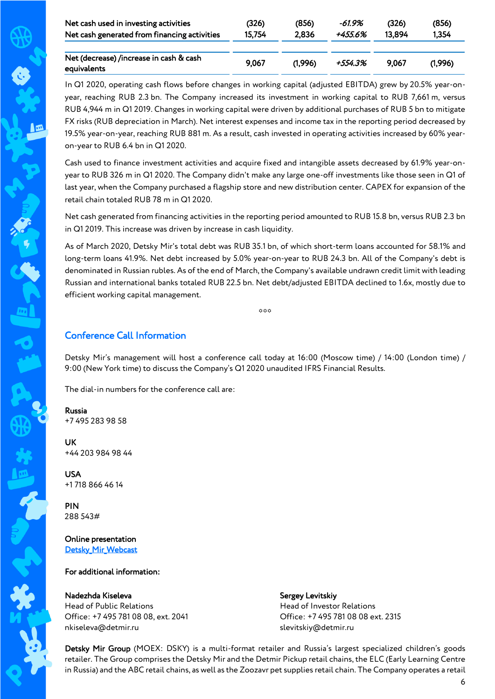| Net cash used in investing activities                  | (326)  | (856)   | -61.9%  | (326)  | (856)   |
|--------------------------------------------------------|--------|---------|---------|--------|---------|
| Net cash generated from financing activities           | 15.754 | 2,836   | +455.6% | 13.894 | 1,354   |
| Net (decrease) /increase in cash & cash<br>equivalents | 9.067  | (1.996) | +554.3% | 9.067  | (1.996) |

In Q1 2020, operating cash flows before changes in working capital (adjusted EBITDA) grew by 20.5% year-onyear, reaching RUB 2.3 bn. The Company increased its investment in working capital to RUB 7,661 m, versus RUB 4,944 m in Q1 2019. Changes in working capital were driven by additional purchases of RUB 5 bn to mitigate FX risks (RUB depreciation in March). Net interest expenses and income tax in the reporting period decreased by 19.5% year-on-year, reaching RUB 881 m. As a result, cash invested in operating activities increased by 60% yearon-year to RUB 6.4 bn in Q1 2020.

Cash used to finance investment activities and acquire fixed and intangible assets decreased by 61.9% year-onyear to RUB 326 m in Q1 2020. The Company didn't make any large one-off investments like those seen in Q1 of last year, when the Company purchased a flagship store and new distribution center. CAPEX for expansion of the retail chain totaled RUB 78 m in Q1 2020.

Net cash generated from financing activities in the reporting period amounted to RUB 15.8 bn, versus RUB 2.3 bn in Q1 2019. This increase was driven by increase in cash liquidity.

As of March 2020, Detsky Mir's total debt was RUB 35.1 bn, of which short-term loans accounted for 58.1% and long-term loans 41.9%. Net debt increased by 5.0% year-on-year to RUB 24.3 bn. All of the Company's debt is denominated in Russian rubles. As of the end of March, the Company's available undrawn credit limit with leading Russian and international banks totaled RUB 22.5 bn. Net debt/adjusted EBITDA declined to 1.6х, mostly due to efficient working capital management.

 $000$ 

# Conference Call Information

Detsky Mir's management will host a conference call today at 16:00 (Moscow time) / 14:00 (London time) / 9:00 (New York time) to discuss the Company's Q1 2020 unaudited IFRS Financial Results.

The dial-in numbers for the conference call are:

Russia +7 495 283 98 58

UK +44 203 984 98 44

USA +1 718 866 46 14

PIN 288 543#

Online presentation Detsky Mir Webcast

### For additional information:

Nadezhda Kiseleva Head of Public Relations Office: +7 495 781 08 08, ext. 2041 nkiseleva@detmir.ru

Sergey Levitskiy Head of Investor Relations Office: +7 495 781 08 08 ext. 2315 slevitskiy@detmir.ru

Detsky Mir Group (MOEX: DSKY) is a multi-format retailer and Russia's largest specialized children's goods retailer. The Group comprises the Detsky Mir and the Detmir Pickup retail chains, the ELC (Early Learning Centre in Russia) and the ABC retail chains, as well as the Zoozavr pet supplies retail chain. The Company operates a retail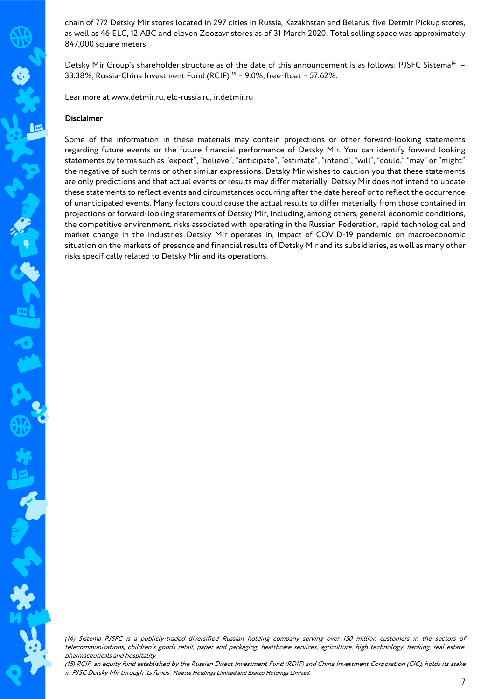chain of 772 Detsky Mir stores located in 297 cities in Russia, Kazakhstan and Belarus, five Detmir Pickup stores, as well as 46 ELC, 12 ABC and eleven Zoozavr stores as of 31 March 2020. Total selling space was approximately 847,000 square meters

Detsky Mir Group's shareholder structure as of the date of this announcement is as follows: PJSFC Sistema<sup>14</sup> -33.38%, Russia-China Investment Fund (RCIF) [15](#page-6-1) – 9.0%, free-float – 57.62%.

Lear more at www.detmir.ru, elc-russia.ru, ir.detmir.ru

#### Disclaimer

-

Some of the information in these materials may contain projections or other forward-looking statements regarding future events or the future financial performance of Detsky Mir. You can identify forward looking statements by terms such as "expect", "believe", "anticipate", "estimate", "intend", "will", "could," "may" or "might" the negative of such terms or other similar expressions. Detsky Mir wishes to caution you that these statements are only predictions and that actual events or results may differ materially. Detsky Mir does not intend to update these statements to reflect events and circumstances occurring after the date hereof or to reflect the occurrence of unanticipated events. Many factors could cause the actual results to differ materially from those contained in projections or forward-looking statements of Detsky Mir, including, among others, general economic conditions, the competitive environment, risks associated with operating in the Russian Federation, rapid technological and market change in the industries Detsky Mir operates in, impact of COVID-19 pandemic on macroeconomic situation on the markets of presence and financial results of Detsky Mir and its subsidiaries, as well as many other risks specifically related to Detsky Mir and its operations.

<span id="page-6-0"></span><sup>(14)</sup> Sistema PJSFC is a publicly-traded diversified Russian holding company serving over 150 million customers in the sectors of telecommunications, children's goods retail, paper and packaging, healthcare services, agriculture, high technology, banking, real estate, pharmaceuticals and hospitality.

<span id="page-6-1"></span><sup>(15)</sup> RCIF, an equity fund established by the Russian Direct Investment Fund (RDIF) and China Investment Corporation (CIC), holds its stake in PJSC Detsky Mir through its funds: Floette Holdings Limited and Exarzo Holdings Limited.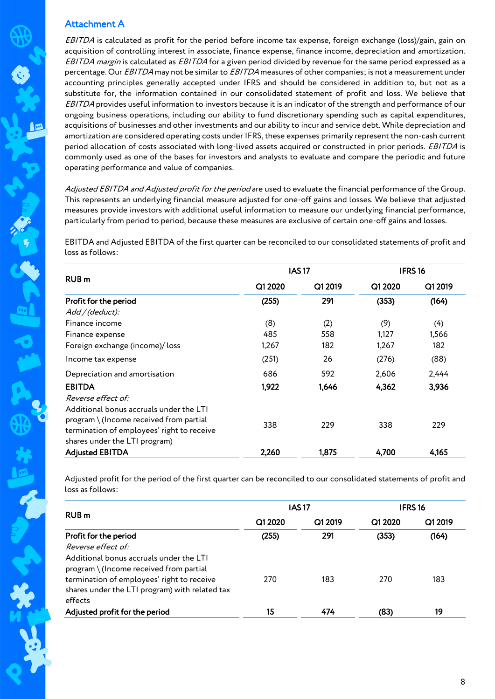# Attachment A

EBITDA is calculated as profit for the period before income tax expense, foreign exchange (loss)/gain, gain on acquisition of controlling interest in associate, finance expense, finance income, depreciation and amortization. EBITDA margin is calculated as EBITDA for a given period divided by revenue for the same period expressed as a percentage. Our EBITDA may not be similar to EBITDA measures of other companies; is not a measurement under accounting principles generally accepted under IFRS and should be considered in addition to, but not as a substitute for, the information contained in our consolidated statement of profit and loss. We believe that EBITDA provides useful information to investors because it is an indicator of the strength and performance of our ongoing business operations, including our ability to fund discretionary spending such as capital expenditures, acquisitions of businesses and other investments and our ability to incur and service debt. While depreciation and amortization are considered operating costs under IFRS, these expenses primarily represent the non-cash current period allocation of costs associated with long-lived assets acquired or constructed in prior periods. EBITDA is commonly used as one of the bases for investors and analysts to evaluate and compare the periodic and future operating performance and value of companies.

Adjusted EBITDA and Adjusted profit for the period are used to evaluate the financial performance of the Group. This represents an underlying financial measure adjusted for one-off gains and losses. We believe that adjusted measures provide investors with additional useful information to measure our underlying financial performance, particularly from period to period, because these measures are exclusive of certain one-off gains and losses.

EBITDA and Adjusted EBITDA of the first quarter can be reconciled to our consolidated statements of profit and loss as follows:

|                                                                                                                                                                     |         | <b>IAS17</b> |         | <b>IFRS16</b> |  |
|---------------------------------------------------------------------------------------------------------------------------------------------------------------------|---------|--------------|---------|---------------|--|
| RUB <sub>m</sub>                                                                                                                                                    | Q1 2020 | Q1 2019      | Q1 2020 | Q1 2019       |  |
| Profit for the period                                                                                                                                               | (255)   | 291          | (353)   | (164)         |  |
| Add / (deduct):                                                                                                                                                     |         |              |         |               |  |
| Finance income                                                                                                                                                      | (8)     | (2)          | (9)     | (4)           |  |
| Finance expense                                                                                                                                                     | 485     | 558          | 1,127   | 1,566         |  |
| Foreign exchange (income)/ loss                                                                                                                                     | 1,267   | 182          | 1,267   | 182           |  |
| Income tax expense                                                                                                                                                  | (251)   | 26           | (276)   | (88)          |  |
| Depreciation and amortisation                                                                                                                                       | 686     | 592          | 2,606   | 2,444         |  |
| <b>EBITDA</b>                                                                                                                                                       | 1,922   | 1,646        | 4,362   | 3,936         |  |
| Reverse effect of:                                                                                                                                                  |         |              |         |               |  |
| Additional bonus accruals under the LTI<br>$program \ (Income received from partial$<br>termination of employees' right to receive<br>shares under the LTI program) | 338     | 229          | 338     | 229           |  |
| <b>Adjusted EBITDA</b>                                                                                                                                              | 2,260   | 1,875        | 4,700   | 4,165         |  |

Adjusted profit for the period of the first quarter can be reconciled to our consolidated statements of profit and loss as follows:

|                                                | <b>IAS17</b> |         | <b>IFRS16</b> |         |
|------------------------------------------------|--------------|---------|---------------|---------|
| RUB <sub>m</sub>                               | Q1 2020      | Q1 2019 | Q1 2020       | Q1 2019 |
| Profit for the period                          | (255)        | 291     | (353)         | (164)   |
| Reverse effect of:                             |              |         |               |         |
| Additional bonus accruals under the LTI        |              |         |               |         |
| program \ (Income received from partial        |              |         |               |         |
| termination of employees' right to receive     | 270          | 183     | 270           | 183     |
| shares under the LTI program) with related tax |              |         |               |         |
| effects                                        |              |         |               |         |
| Adjusted profit for the period                 | 15           | 474     | (83)          | 19      |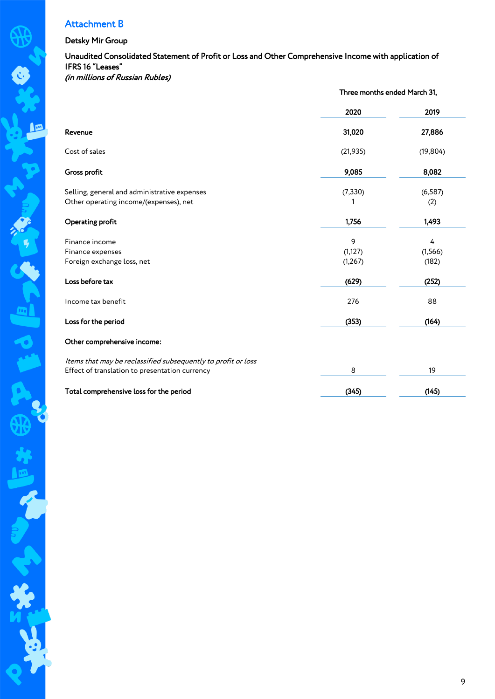# Attachment B

### Detsky Mir Group

# Unaudited Consolidated Statement of Profit or Loss and Other Comprehensive Income with application of IFRS 16 "Leases"

(in millions of Russian Rubles)

|                                                               | Three months ended March 31, |           |  |
|---------------------------------------------------------------|------------------------------|-----------|--|
|                                                               | 2020                         | 2019      |  |
| Revenue                                                       | 31,020                       | 27,886    |  |
| Cost of sales                                                 | (21, 935)                    | (19, 804) |  |
| Gross profit                                                  | 9,085                        | 8,082     |  |
| Selling, general and administrative expenses                  | (7, 330)                     | (6, 587)  |  |
| Other operating income/(expenses), net                        |                              | (2)       |  |
| Operating profit                                              | 1,756                        | 1,493     |  |
| Finance income                                                | 9                            | 4         |  |
| Finance expenses                                              | (1, 127)                     | (1, 566)  |  |
| Foreign exchange loss, net                                    | (1, 267)                     | (182)     |  |
| Loss before tax                                               | (629)                        | (252)     |  |
| Income tax benefit                                            | 276                          | 88        |  |
| Loss for the period                                           | (353)                        | (164)     |  |
| Other comprehensive income:                                   |                              |           |  |
| Items that may be reclassified subsequently to profit or loss |                              |           |  |
| Effect of translation to presentation currency                | 8                            | 19        |  |
| Total comprehensive loss for the period                       | (345)                        | (145)     |  |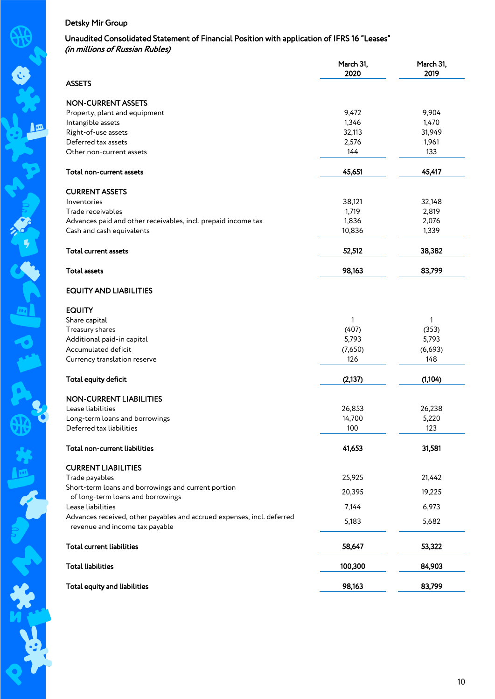# Unaudited Consolidated Statement of Financial Position with application of IFRS 16 "Leases" (in millions of Russian Rubles)

|                                                                        | March 31,<br>2020 | March 31,<br>2019 |
|------------------------------------------------------------------------|-------------------|-------------------|
| <b>ASSETS</b>                                                          |                   |                   |
| <b>NON-CURRENT ASSETS</b>                                              |                   |                   |
| Property, plant and equipment                                          | 9,472             | 9,904             |
| Intangible assets                                                      | 1,346             | 1,470             |
| Right-of-use assets                                                    | 32,113            | 31,949            |
| Deferred tax assets                                                    | 2,576             | 1,961             |
| Other non-current assets                                               | 144               | 133               |
| Total non-current assets                                               | 45,651            | 45,417            |
|                                                                        |                   |                   |
| <b>CURRENT ASSETS</b>                                                  |                   |                   |
| Inventories<br>Trade receivables                                       | 38,121<br>1,719   | 32,148<br>2,819   |
|                                                                        | 1,836             | 2,076             |
| Advances paid and other receivables, incl. prepaid income tax          |                   | 1,339             |
| Cash and cash equivalents                                              | 10,836            |                   |
| <b>Total current assets</b>                                            | 52,512            | 38,382            |
| <b>Total assets</b>                                                    | 98,163            | 83,799            |
| <b>EQUITY AND LIABILITIES</b>                                          |                   |                   |
| <b>EQUITY</b>                                                          |                   |                   |
| Share capital                                                          | 1                 | 1                 |
| Treasury shares                                                        | (407)             | (353)             |
| Additional paid-in capital                                             | 5,793             | 5,793             |
| Accumulated deficit                                                    | (7,650)           | (6,693)           |
| Currency translation reserve                                           | 126               | 148               |
| Total equity deficit                                                   | (2, 137)          | (1, 104)          |
|                                                                        |                   |                   |
| <b>NON-CURRENT LIABILITIES</b>                                         |                   |                   |
| Lease liabilities                                                      | 26,853            | 26,238            |
| Long-term loans and borrowings                                         | 14,700            | 5,220             |
| Deferred tax liabilities                                               | 100               | 123               |
| Total non-current liabilities                                          | 41,653            | 31,581            |
| <b>CURRENT LIABILITIES</b>                                             |                   |                   |
| Trade payables                                                         | 25,925            | 21,442            |
| Short-term loans and borrowings and current portion                    | 20,395            | 19,225            |
| of long-term loans and borrowings<br>Lease liabilities                 | 7,144             | 6,973             |
| Advances received, other payables and accrued expenses, incl. deferred |                   |                   |
| revenue and income tax payable                                         | 5,183             | 5,682             |
| <b>Total current liabilities</b>                                       | 58,647            | 53,322            |
| <b>Total liabilities</b>                                               | 100,300           | 84,903            |
| Total equity and liabilities                                           | 98,163            | 83,799            |

L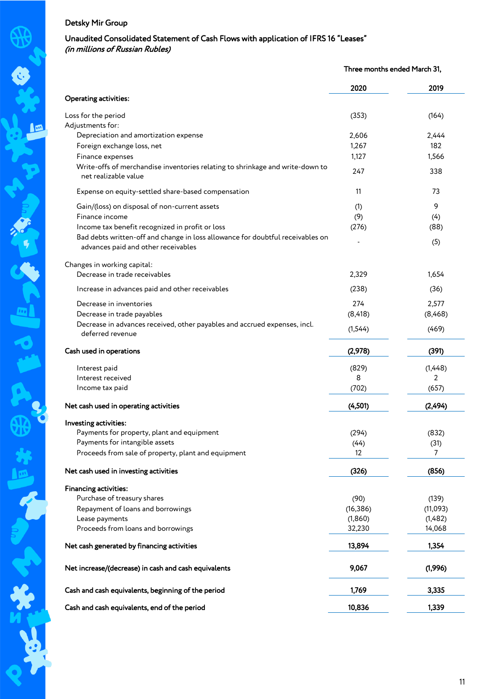# Unaudited Consolidated Statement of Cash Flows with application of IFRS 16 "Leases" (in millions of Russian Rubles)

Three months ended March 31,

|                                                                                | 2020      | 2019      |
|--------------------------------------------------------------------------------|-----------|-----------|
| <b>Operating activities:</b>                                                   |           |           |
| Loss for the period                                                            | (353)     | (164)     |
| Adjustments for:                                                               |           |           |
| Depreciation and amortization expense                                          | 2,606     | 2,444     |
| Foreign exchange loss, net                                                     | 1,267     | 182       |
| Finance expenses                                                               | 1,127     | 1,566     |
| Write-offs of merchandise inventories relating to shrinkage and write-down to  |           |           |
| net realizable value                                                           | 247       | 338       |
| Expense on equity-settled share-based compensation                             | 11        | 73        |
| Gain/(loss) on disposal of non-current assets                                  | (1)       | 9         |
| Finance income                                                                 | (9)       | (4)       |
| Income tax benefit recognized in profit or loss                                | (276)     | (88)      |
| Bad debts written-off and change in loss allowance for doubtful receivables on |           |           |
| advances paid and other receivables                                            |           | (5)       |
| Changes in working capital:                                                    |           |           |
| Decrease in trade receivables                                                  | 2,329     | 1,654     |
| Increase in advances paid and other receivables                                | (238)     | (36)      |
| Decrease in inventories                                                        | 274       | 2,577     |
| Decrease in trade payables                                                     | (8, 418)  | (8,468)   |
| Decrease in advances received, other payables and accrued expenses, incl.      |           |           |
| deferred revenue                                                               | (1, 544)  | (469)     |
| Cash used in operations                                                        | (2,978)   | (391)     |
| Interest paid                                                                  | (829)     | (1,448)   |
| Interest received                                                              | 8         | 2         |
| Income tax paid                                                                | (702)     | (657)     |
| Net cash used in operating activities                                          | (4, 501)  | (2, 494)  |
|                                                                                |           |           |
| Investing activities:                                                          |           |           |
| Payments for property, plant and equipment<br>Payments for intangible assets   | (294)     | (832)     |
|                                                                                | (44)      | (31)<br>7 |
| Proceeds from sale of property, plant and equipment                            | 12        |           |
| Net cash used in investing activities                                          | (326)     | (856)     |
| <b>Financing activities:</b>                                                   |           |           |
| Purchase of treasury shares                                                    | (90)      | (139)     |
| Repayment of loans and borrowings                                              | (16, 386) | (11,093)  |
| Lease payments                                                                 | (1,860)   | (1,482)   |
| Proceeds from loans and borrowings                                             | 32,230    | 14,068    |
| Net cash generated by financing activities                                     | 13,894    | 1,354     |
|                                                                                |           |           |
| Net increase/(decrease) in cash and cash equivalents                           | 9,067     | (1,996)   |
| Cash and cash equivalents, beginning of the period                             | 1,769     | 3,335     |
| Cash and cash equivalents, end of the period                                   | 10,836    | 1,339     |

A<sub>3</sub>

J

光泽的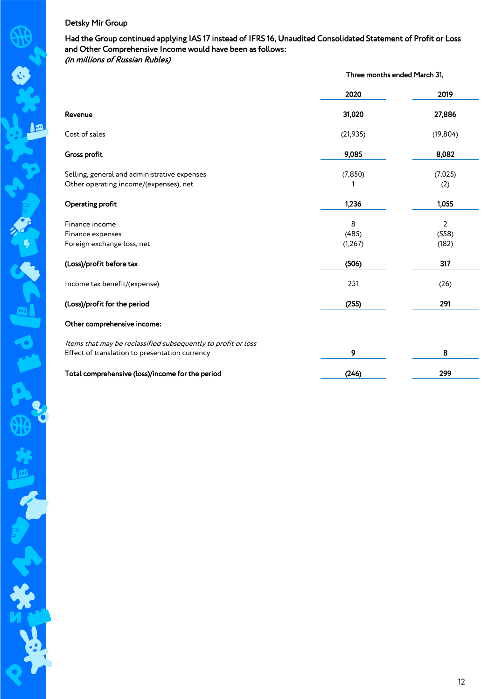Had the Group continued applying IAS 17 instead of IFRS 16, Unaudited Consolidated Statement of Profit or Loss and Other Comprehensive Income would have been as follows: (in millions of Russian Rubles)

|                                                                                        | Three months ended March 31, |                |  |
|----------------------------------------------------------------------------------------|------------------------------|----------------|--|
|                                                                                        | 2020                         | 2019           |  |
| Revenue                                                                                | 31,020                       | 27,886         |  |
| Cost of sales                                                                          | (21, 935)                    | (19, 804)      |  |
| Gross profit                                                                           | 9,085                        | 8,082          |  |
| Selling, general and administrative expenses<br>Other operating income/(expenses), net | (7, 850)                     | (7,025)<br>(2) |  |
| Operating profit                                                                       | 1,236                        | 1,055          |  |
| Finance income                                                                         | 8                            | $\overline{2}$ |  |
| Finance expenses                                                                       | (485)                        | (558)          |  |
| Foreign exchange loss, net                                                             | (1, 267)                     | (182)          |  |
| (Loss)/profit before tax                                                               | (506)                        | 317            |  |
| Income tax benefit/(expense)                                                           | 251                          | (26)           |  |
| (Loss)/profit for the period                                                           | (255)                        | 291            |  |
| Other comprehensive income:                                                            |                              |                |  |
| Items that may be reclassified subsequently to profit or loss                          |                              |                |  |
| Effect of translation to presentation currency                                         | 9                            | 8              |  |
| Total comprehensive (loss)/income for the period                                       | (246)                        | 299            |  |

I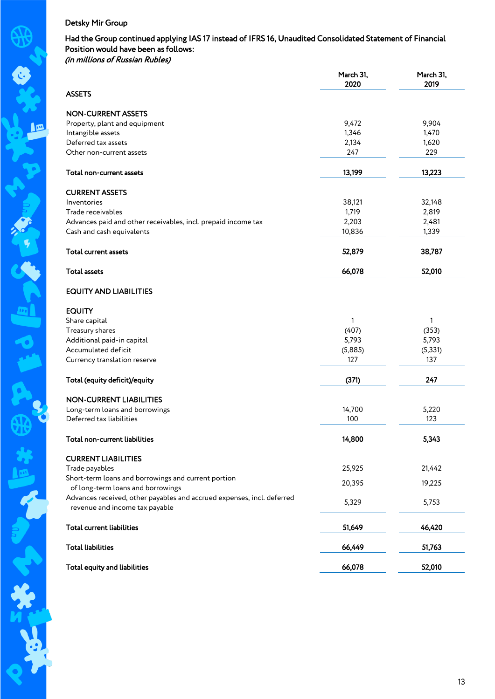### Had the Group continued applying IAS 17 instead of IFRS 16, Unaudited Consolidated Statement of Financial Position would have been as follows: (in millions of Russian Rubles)

|                                                                                                          | March 31,<br>2020 | March 31,<br>2019 |
|----------------------------------------------------------------------------------------------------------|-------------------|-------------------|
| <b>ASSETS</b>                                                                                            |                   |                   |
| <b>NON-CURRENT ASSETS</b>                                                                                |                   |                   |
| Property, plant and equipment                                                                            | 9,472             | 9,904             |
| Intangible assets                                                                                        | 1,346             | 1,470             |
| Deferred tax assets                                                                                      | 2,134             | 1,620             |
| Other non-current assets                                                                                 | 247               | 229               |
| Total non-current assets                                                                                 | 13,199            | 13,223            |
| <b>CURRENT ASSETS</b>                                                                                    |                   |                   |
| Inventories                                                                                              | 38,121            | 32,148            |
| Trade receivables                                                                                        | 1,719             | 2,819             |
| Advances paid and other receivables, incl. prepaid income tax                                            | 2,203             | 2,481             |
| Cash and cash equivalents                                                                                | 10,836            | 1,339             |
| <b>Total current assets</b>                                                                              | 52,879            | 38,787            |
| <b>Total assets</b>                                                                                      | 66,078            | 52,010            |
| <b>EQUITY AND LIABILITIES</b>                                                                            |                   |                   |
| <b>EQUITY</b>                                                                                            |                   |                   |
| Share capital                                                                                            | $\mathbf{1}$      | 1                 |
| Treasury shares                                                                                          | (407)             | (353)             |
| Additional paid-in capital                                                                               | 5,793             | 5,793             |
| Accumulated deficit                                                                                      | (5,885)           | (5, 331)          |
| Currency translation reserve                                                                             | 127               | 137               |
| Total (equity deficit)/equity                                                                            | (371)             | 247               |
| <b>NON-CURRENT LIABILITIES</b>                                                                           |                   |                   |
| Long-term loans and borrowings                                                                           | 14,700            | 5,220             |
| Deferred tax liabilities                                                                                 | 100               | 123               |
| Total non-current liabilities                                                                            | 14,800            | 5,343             |
| <b>CURRENT LIABILITIES</b>                                                                               |                   |                   |
| Trade payables                                                                                           | 25,925            | 21,442            |
| Short-term loans and borrowings and current portion                                                      |                   |                   |
| of long-term loans and borrowings                                                                        | 20,395            | 19,225            |
| Advances received, other payables and accrued expenses, incl. deferred<br>revenue and income tax payable | 5,329             | 5,753             |
| <b>Total current liabilities</b>                                                                         | 51,649            | 46,420            |
| <b>Total liabilities</b>                                                                                 | 66,449            | 51,763            |
| Total equity and liabilities                                                                             | 66,078            | 52,010            |